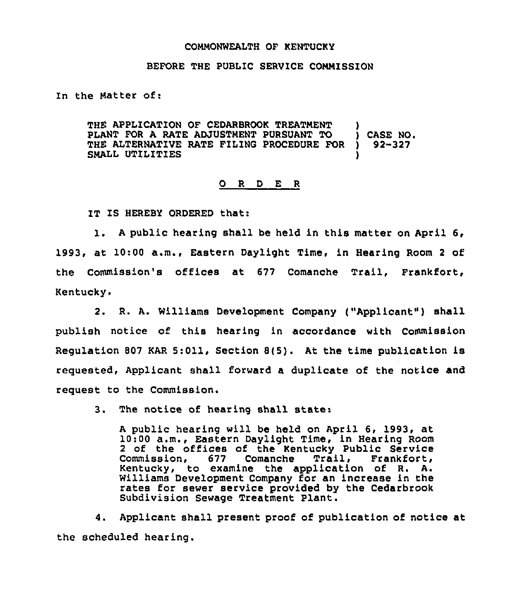## COMMONWEALTH OF KENTUCKY

## BEFORE THE PUBLIC SERVICE COMMISSION

In the Matter of:

THE APPLICATION OF CEDARBROOK TREATMENT )<br>PLANT FOR A RATE ADJUSTMENT PURSUANT TO ) CASE NO. PLANT FOR A RATE ADJUSTMENT PURSUANT TO ) CASE NO. THE ALTERNATIVE RATE FILING PROCEDURE FOR SMALL UTILITIES

## 0 <sup>R</sup> <sup>D</sup> E <sup>R</sup>

IT IS HEREBY ORDERED that:

1. <sup>A</sup> public hearing shall be held in this matter on April 6, 1993, at 10:00 a.m., Eastern Daylight Time, in Hearing Room <sup>2</sup> of the Commission's offices at 677 Comanche Trail, Frankfort, Kentucky.

2. R. A. Williams Development Company ("Applicant") shall publish notice of this hearing in accordance with Commission Regulation <sup>807</sup> KAR 5:011, Section 8(5). At the time publication is requested, Applicant shall forward a duplicate of the notice and request to the Commission.

3. The notice of hearing shall state:

<sup>A</sup> public hearing will be held on April 6, 1993, at 10:00 a.m., Eastern Daylight Time, in Hearing Room 2 of the offices of the Kentucky Public Service<br>Commission, 677 Comanche Trail, Frankfort, Commission, 677 Comanche Trail, Frankfort Kentucky, to examine the application of R. A. Williams Development Company for an increase in the rates for sewer service provided by the Cedarbrook Subdivision Sewage Treatment Plant.

4. Applicant shall present proof of publication of notice at the scheduled hearing.